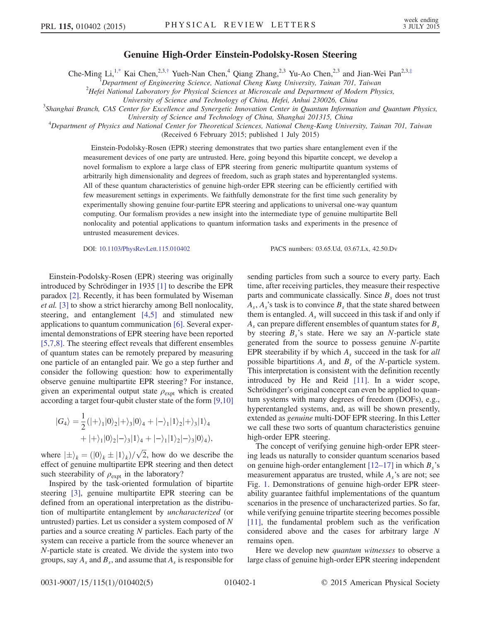## Genuine High-Order Einstein-Podolsky-Rosen Steering

<span id="page-0-0"></span>Che-Ming Li,<sup>1[,\\*](#page-3-0)</sup> Kai Chen,<sup>2,3,[†](#page-3-1)</sup> Yueh-Nan Chen,<sup>4</sup> Qiang Zhang,<sup>2,3</sup> Yu-Ao Chen,<sup>2,3</sup> and Jian-Wei Pan<sup>2,3,[‡](#page-3-2)</sup>

<sup>1</sup>Department of Engineering Science, National Cheng Kung University, Tainan 701, Taiwan<br><sup>2</sup>Hefei National Laboratory for Physical Sciences at Microscale and Department of Modern Phys

 $H$ efei National Laboratory for Physical Sciences at Microscale and Department of Modern Physics,

University of Science and Technology of China, Hefei, Anhui 230026, China <sup>3</sup>

Shanghai Branch, CAS Center for Excellence and Synergetic Innovation Center in Quantum Information and Quantum Physics, University of Science and Technology of China, Shanghai 201315, China <sup>4</sup>

<sup>4</sup>Department of Physics and National Center for Theoretical Sciences, National Cheng-Kung University, Tainan 701, Taiwan

(Received 6 February 2015; published 1 July 2015)

Einstein-Podolsky-Rosen (EPR) steering demonstrates that two parties share entanglement even if the measurement devices of one party are untrusted. Here, going beyond this bipartite concept, we develop a novel formalism to explore a large class of EPR steering from generic multipartite quantum systems of arbitrarily high dimensionality and degrees of freedom, such as graph states and hyperentangled systems. All of these quantum characteristics of genuine high-order EPR steering can be efficiently certified with few measurement settings in experiments. We faithfully demonstrate for the first time such generality by experimentally showing genuine four-partite EPR steering and applications to universal one-way quantum computing. Our formalism provides a new insight into the intermediate type of genuine multipartite Bell nonlocality and potential applications to quantum information tasks and experiments in the presence of untrusted measurement devices.

DOI: [10.1103/PhysRevLett.115.010402](http://dx.doi.org/10.1103/PhysRevLett.115.010402) PACS numbers: 03.65.Ud, 03.67.Lx, 42.50.Dv

Einstein-Podolsky-Rosen (EPR) steering was originally introduced by Schrödinger in 1935 [\[1\]](#page-3-3) to describe the EPR paradox [\[2\].](#page-4-0) Recently, it has been formulated by Wiseman et al. [\[3\]](#page-4-1) to show a strict hierarchy among Bell nonlocality, steering, and entanglement [\[4,5\]](#page-4-2) and stimulated new applications to quantum communication [\[6\].](#page-4-3) Several experimental demonstrations of EPR steering have been reported [\[5,7,8\].](#page-4-4) The steering effect reveals that different ensembles of quantum states can be remotely prepared by measuring one particle of an entangled pair. We go a step further and consider the following question: how to experimentally observe genuine multipartite EPR steering? For instance, given an experimental output state  $\rho_{\text{expt}}$  which is created according a target four-qubit cluster state of the form [\[9,10\]](#page-4-5)

$$
|G_4\rangle = \frac{1}{2} (|+\rangle_1 |0\rangle_2 |+\rangle_3 |0\rangle_4 + |-\rangle_1 |1\rangle_2 |+\rangle_3 |1\rangle_4 + |+\rangle_1 |0\rangle_2 |-\rangle_3 |1\rangle_4 + |-\rangle_1 |1\rangle_2 |-\rangle_3 |0\rangle_4),
$$

where  $|\pm\rangle_k = (0\partial_k \pm |1\rangle_k)/\sqrt{2}$ , how do we describe the effect of genuine multinaritie EPR steering and then detect effect of genuine multipartite EPR steering and then detect such steerability of  $\rho_{\rm expt}$  in the laboratory?

Inspired by the task-oriented formulation of bipartite steering [\[3\],](#page-4-1) genuine multipartite EPR steering can be defined from an operational interpretation as the distribution of multipartite entanglement by uncharacterized (or untrusted) parties. Let us consider a system composed of N parties and a source creating N particles. Each party of the system can receive a particle from the source whenever an N-particle state is created. We divide the system into two groups, say  $A_s$  and  $B_s$ , and assume that  $A_s$  is responsible for sending particles from such a source to every party. Each time, after receiving particles, they measure their respective parts and communicate classically. Since  $B_s$  does not trust  $A_s$ ,  $A_s$ 's task is to convince  $B_s$  that the state shared between them is entangled.  $A_s$  will succeed in this task if and only if  $A<sub>s</sub>$  can prepare different ensembles of quantum states for  $B<sub>s</sub>$ by steering  $B_s$ 's state. Here we say an N-particle state generated from the source to possess genuine N-partite EPR steerability if by which  $A_s$  succeed in the task for all possible bipartitions  $A_s$  and  $B_s$  of the N-particle system. This interpretation is consistent with the definition recently introduced by He and Reid [\[11\].](#page-4-6) In a wider scope, Schrödinger's original concept can even be applied to quantum systems with many degrees of freedom (DOFs), e.g., hyperentangled systems, and, as will be shown presently, extended as genuine multi-DOF EPR steering. In this Letter we call these two sorts of quantum characteristics genuine high-order EPR steering.

The concept of verifying genuine high-order EPR steering leads us naturally to consider quantum scenarios based on genuine high-order entanglement  $[12–17]$  $[12–17]$  in which  $B_s$ 's measurement apparatus are trusted, while  $A_s$ 's are not; see Fig. [1.](#page-1-0) Demonstrations of genuine high-order EPR steerability guarantee faithful implementations of the quantum scenarios in the presence of uncharacterized parties. So far, while verifying genuine tripartite steering becomes possible [\[11\]](#page-4-6), the fundamental problem such as the verification considered above and the cases for arbitrary large N remains open.

Here we develop new *quantum witnesses* to observe a large class of genuine high-order EPR steering independent

0031-9007/15/115(1)/010402(5) 010402-1 © 2015 American Physical Society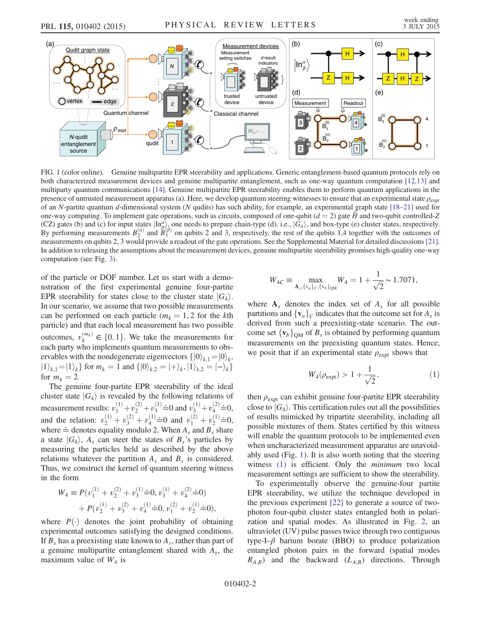<span id="page-1-0"></span>

FIG. 1 (color online). Genuine multipartite EPR steerability and applications. Generic entanglement-based quantum protocols rely on both characterized measurement devices and genuine multipartite entanglement, such as one-way quantum computation [\[12,13\]](#page-4-7) and multiparty quantum communications [\[14\].](#page-4-9) Genuine multipartite EPR steerability enables them to perform quantum applications in the presence of untrusted measurement apparatus (a). Here, we develop quantum steering witnesses to ensure that an experimental state  $\rho_{\text{exnt}}$ of an N-partite quantum d-dimensional system (N qudits) has such ability, for example, an experimental graph state  $[18-21]$  $[18-21]$  used for one-way computing. To implement gate operations, such as circuits, composed of one-qubit ( $d = 2$ ) gate  $\hat{H}$  and two-qubit controlled-Z (CZ) gates (b) and (c) for input states  $\vert \text{In}_{\beta}^{\alpha} \rangle$ , one needs to prepare chain-type (d), i.e.,  $\vert G_4 \rangle$ , and box-type (e) cluster states, respectively.<br>By performing measurements  $B_2^{(\alpha)}$  and  $B_3^{(\beta)}$  on qubits measurements on qubits 2, 3 would provide a readout of the gate operations. See the Supplemental Material for detailed discussions [\[21\].](#page-4-11) In addition to releasing the assumptions about the measurement devices, genuine multipartite steerability promises high-quality one-way computation (see Fig. [3](#page-3-4)).

of the particle or DOF number. Let us start with a demonstration of the first experimental genuine four-partite EPR steerability for states close to the cluster state  $|G_4\rangle$ . In our scenario, we assume that two possible measurements can be performed on each particle ( $m_k = 1, 2$  for the kth particle) and that each local measurement has two possible outcomes,  $v_k^{(m_k)} \in \{0, 1\}$ . We take the measurements for each party who implements quantum measurements to observe each party who implements quantum measurements to observables with the nondegenerate eigenvectors  $\{|0\rangle_{k,1}=|0\rangle_{k}$ ,  $|1\rangle_{k,1} = |1\rangle_k$ } for  $m_k = 1$  and  $\{|0\rangle_{k,2} = |+\rangle_k, |1\rangle_{k,2} = |-\rangle_k$ for  $m_k = 2$ .

The genuine four-partite EPR steerability of the ideal cluster state  $|G_4\rangle$  is revealed by the following relations of measurement results:  $v_1^{(1)} + v_2^{(2)} + v_3^{(1)} \doteq 0$  and  $v_3^{(1)} + v_4^{(2)} \doteq 0$ , and the relation:  $v_2^{(1)} + v_3^{(2)} + v_4^{(1)} \doteq 0$  and  $v_1^{(2)} + v_2^{(1)} \doteq 0$ ,<br>where  $\doteq$  denotes equality modulo 2. When A and B share where  $\doteq$  denotes equality modulo 2. When  $A_s$  and  $B_s$  share a state  $|G_4\rangle$ ,  $A_s$  can steer the states of  $B_s$ 's particles by measuring the particles held as described by the above relations whatever the partition  $A_s$  and  $B_s$  is considered. Thus, we construct the kernel of quantum steering witness in the form

$$
W_4 \equiv P(v_1^{(1)} + v_2^{(2)} + v_3^{(1)} \doteq 0, v_3^{(1)} + v_4^{(2)} \doteq 0)
$$
  
+ 
$$
P(v_2^{(1)} + v_3^{(2)} + v_4^{(1)} \doteq 0, v_1^{(2)} + v_2^{(1)} \doteq 0),
$$

where  $P(\cdot)$  denotes the joint probability of obtaining experimental outcomes satisfying the designed conditions. If  $B_s$  has a preexisting state known to  $A_s$ , rather than part of a genuine multipartite entanglement shared with  $A_s$ , the maximum value of  $W_4$  is

$$
W_{4C} \equiv \max_{\mathbf{A}_s, \{v_a\}_c, \{v_b\}_\text{QM}} W_4 = 1 + \frac{1}{\sqrt{2}} \sim 1.7071,
$$

<span id="page-1-1"></span>where  $A_s$  denotes the index set of  $A_s$  for all possible partitions and  $\{v_a\}_c$  indicates that the outcome set for  $A_s$  is derived from such a preexisting-state scenario. The outcome set  ${v_b}_{\text{OM}}$  of  $B_s$  is obtained by performing quantum measurements on the preexisting quantum states. Hence, we posit that if an experimental state  $\rho_{\text{expt}}$  shows that

$$
W_4(\rho_{\rm expt}) > 1 + \frac{1}{\sqrt{2}},
$$
 (1)

then  $\rho_{\text{expt}}$  can exhibit genuine four-partite EPR steerability close to  $|G_4\rangle$ . This certification rules out all the possibilities of results mimicked by tripartite steerability, including all possible mixtures of them. States certified by this witness will enable the quantum protocols to be implemented even when uncharacterized measurement apparatus are unavoidably used (Fig. [1\)](#page-1-0). It is also worth noting that the steering witness [\(1\)](#page-1-1) is efficient. Only the *minimum* two local measurement settings are sufficient to show the steerability.

To experimentally observe the genuine-four partite EPR steerability, we utilize the technique developed in the previous experiment [\[22\]](#page-4-8) to generate a source of twophoton four-qubit cluster states entangled both in polarization and spatial modes. As illustrated in Fig. [2,](#page-2-0) an ultraviolet (UV) pulse passes twice through two contiguous type-I– $\beta$  barium borate (BBO) to produce polarization entangled photon pairs in the forward (spatial modes  $R_{A,B}$ ) and the backward  $(L_{A,B})$  directions. Through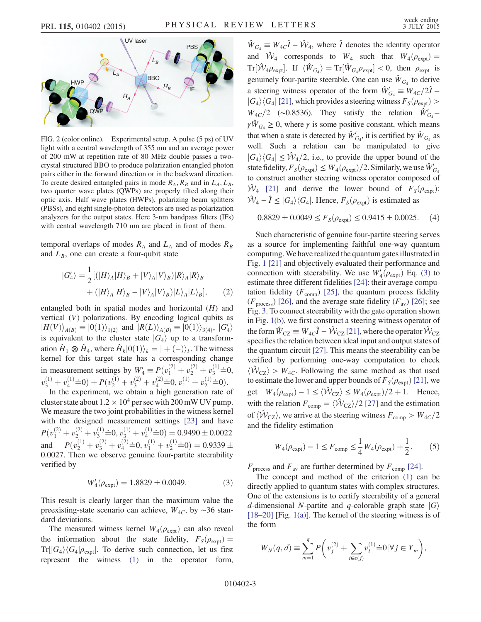<span id="page-2-0"></span>

FIG. 2 (color online). Experimental setup. A pulse (5 ps) of UV light with a central wavelength of 355 nm and an average power of 200 mW at repetition rate of 80 MHz double passes a twocrystal structured BBO to produce polarization entangled photon pairs either in the forward direction or in the backward direction. To create desired entangled pairs in mode  $R_A$ ,  $R_B$  and in  $L_A$ ,  $L_B$ , two quarter wave plates (QWPs) are properly tilted along their optic axis. Half wave plates (HWPs), polarizing beam splitters (PBSs), and eight single-photon detectors are used as polarization analyzers for the output states. Here 3-nm bandpass filters (IFs) with central wavelength 710 nm are placed in front of them.

temporal overlaps of modes  $R_A$  and  $L_A$  and of modes  $R_B$ and  $L_B$ , one can create a four-qubit state

$$
|G_4'\rangle = \frac{1}{2} \left[ (|H\rangle_A |H\rangle_B + |V\rangle_A |V\rangle_B) |R\rangle_A |R\rangle_B + (|H\rangle_A |H\rangle_B - |V\rangle_A |V\rangle_B) |L\rangle_A |L\rangle_B \right], \tag{2}
$$

entangled both in spatial modes and horizontal  $(H)$  and vertical (V) polarizations. By encoding logical qubits as  $|H(V)\rangle_{A(B)} \equiv |0(1)\rangle_{1(2)}$  and  $|R(L)\rangle_{A(B)} \equiv |0(1)\rangle_{3(4)}, |G'_4\rangle$ if  $\mu_1(\nu_1)/A(B) = |0(1)/1(2)|$  and  $|\Lambda(L)/A(B)| = |0(1)/3(4)|$ ,  $|04/1$ <br>is equivalent to the cluster state  $|G_4\rangle$  up to a transform-<br>ation  $\hat{H} \otimes \hat{H}$  where  $\hat{H} |0(1)\rangle = |0(1)\rangle$ . The witness ation  $\hat{H}_1 \otimes \hat{H}_4$ , where  $\hat{H}_k|0(1)\rangle_k = |+(-)\rangle_k$ . The witness kernel for this target state has a corresponding change in measurement settings by  $W'_4 \equiv P(v_1^{(2)} + v_2^{(2)} + v_3^{(1)} \doteq 0,$ <br>(1)  $(1) \cdot Q_1 + P_2^{(1)} + P_3^{(2)} \cdot Q_2 + Q_3^{(1)} + P_4^{(1)} \cdot Q_3$  $v_3^{(1)} + v_4^{(1)} \doteq 0$  +  $P(v_2^{(1)} + v_3^{(2)} + v_4^{(2)} \doteq 0, v_1^{(1)} + v_2^{(1)} \doteq 0$ ).<br>In the experiment, we obtain a high generation rate

In the experiment, we obtain a high generation rate of cluster state about  $1.2 \times 10^4$  per sec with 200 mW UV pump. We measure the two joint probabilities in the witness kernel with the designed measurement settings [\[23\]](#page-4-12) and have  $P(v_1^{(2)} + v_2^{(2)} + v_3^{(1)} \doteq 0, v_3^{(1)} + v_4^{(1)} \doteq 0) = 0.9490 \pm 0.0022$ and  $P(v_2^{(1)} + v_3^{(2)} + v_4^{(2)} \doteq 0, v_1^{(1)} + v_2^{(1)} \doteq 0) = 0.9339 \pm 0.0027$  Then we observe genuine four-partite steerability 0.0027. Then we observe genuine four-partite steerability verified by

$$
W_4'(\rho_{\rm expt}) = 1.8829 \pm 0.0049. \tag{3}
$$

<span id="page-2-1"></span>This result is clearly larger than the maximum value the preexisting-state scenario can achieve,  $W_{4C}$ , by ~36 standard deviations.

The measured witness kernel  $W_4(\rho_{\text{expt}})$  can also reveal the information about the state fidelity,  $F_S(\rho_{expt}) =$  $Tr[|G_4\rangle\langle G_4|\rho_{expt}]$ . To derive such connection, let us first represent the witness [\(1\)](#page-1-1) in the operator form,

 $\hat{W}_{G_4} \equiv W_{4C}\hat{I} - \hat{\mathcal{W}}_4$ , where  $\hat{I}$  denotes the identity operator and  $\hat{W}_4$  corresponds to  $W_4$  such that  $W_4(\rho_{expt}) =$  $\text{Tr}[\hat{\mathcal{W}}_4 \rho_{\text{expt}}]$ . If  $\langle \hat{W}_{G_4} \rangle = \text{Tr}[\hat{W}_{G_4} \rho_{\text{expt}}] < 0$ , then  $\rho_{\text{expt}}$  is genuinely four-partite steerable. One can use  $\hat{W}_{G_4}$  to derive a steering witness operator of the form  $\hat{W}'_{G_4} \equiv W_{4C}/2\hat{I}$  –  $|G_4\rangle\langle G_4|$  [\[21\]](#page-4-11), which provides a steering witness  $F_S(\rho_{\text{expt}})$  >  $W_{4C}/2$  (~0.8536). They satisfy the relation  $\hat{W}'_{G_4}$  –  $\gamma \hat{W}_{G_4} \geq 0$ , where  $\gamma$  is some positive constant, which means that when a state is detected by  $\hat{W}'_{G_4}$ , it is certified by  $\hat{W}_{G_4}$  as well. Such a relation can be manipulated to give  $|G_4\rangle\langle G_4| \leq \hat{\mathcal{W}}_4/2$ , i.e., to provide the upper bound of the state fidelity,  $F_S(\rho_{expt}) \leq W_4(\rho_{expt})/2$ . Similarly, we use  $\hat{W}'_{G_4}$ <br>to construct another steering witness operator composed of to construct another steering witness operator composed of  $\hat{W}_4$  [\[21\]](#page-4-11) and derive the lower bound of  $F_s(\rho_{\text{expt}})$ :  $\hat{W}_4 - \hat{I} \leq |G_4\rangle\langle G_4|$ . Hence,  $F_S(\rho_{expt})$  is estimated as

<span id="page-2-3"></span>
$$
0.8829 \pm 0.0049 \le F_S(\rho_{\text{expt}}) \le 0.9415 \pm 0.0025. \tag{4}
$$

Such characteristic of genuine four-partite steering serves as a source for implementing faithful one-way quantum computing.We have realized the quantum gates illustrated in Fig. [1](#page-1-0) [\[21\]](#page-4-11) and objectively evaluated their performance and connection with steerability. We use  $W_4'(\rho_{\text{expt}})$  Eq. [\(3\)](#page-2-1) to estimate three different fidelities [24]; their average compuestimate three different fidelities [\[24\]:](#page-4-13) their average computation fidelity ( $F_{\text{comp}}$ ) [\[25\],](#page-4-14) the quantum process fidelity ( $F<sub>process</sub>$ ) [\[26\]](#page-4-15), and the average state fidelity ( $F<sub>av</sub>$ ) [26]; see Fig. [3.](#page-3-4) To connect steerability with the gate operation shown in Fig. [1\(b\)](#page-1-0), we first construct a steering witness operator of the form  $\hat{W}_{\text{CZ}} \equiv W_{4C} \hat{I} - \hat{\mathcal{W}}_{\text{CZ}}$  [\[21\],](#page-4-11) where the operator  $\hat{\mathcal{W}}_{\text{CZ}}$ specifies the relation between ideal input and output states of the quantum circuit [\[27\]](#page-4-16). This means the steerability can be verified by performing one-way computation to check  $\langle \hat{W}_{CZ} \rangle$  >  $W_{4C}$ . Following the same method as that used to estimate the lower and upper bounds of  $F_S(\rho_{\text{expt}})$  [\[21\]](#page-4-11), we get  $W_4(\rho_{expt}) - 1 \le \langle W_{CZ} \rangle \le W_4(\rho_{expt})/2 + 1$ . Hence, with the relation  $F_{\text{comp}} = \langle \hat{W}_{\text{CZ}} \rangle / 2$  [\[27\]](#page-4-16) and the estimation of  $\langle \hat{\mathcal{W}}_{CZ} \rangle$ , we arrive at the steering witness  $F_{\text{comp}} > W_{4C}/2$ and the fidelity estimation

<span id="page-2-2"></span>
$$
W_4(\rho_{\text{expt}}) - 1 \le F_{\text{comp}} \le \frac{1}{4} W_4(\rho_{\text{expt}}) + \frac{1}{2}.
$$
 (5)

 $F<sub>process</sub>$  and  $F<sub>av</sub>$  are further determined by  $F<sub>comp</sub>$  [\[24\]](#page-4-13).

The concept and method of the criterion [\(1\)](#page-1-1) can be directly applied to quantum states with complex structures. One of the extensions is to certify steerability of a general d-dimensional N-partite and q-colorable graph state  $|G\rangle$  $[18–20]$  $[18–20]$  [Fig. [1\(a\)\]](#page-1-0). The kernel of the steering witness is of the form

$$
W_N(q, d) \equiv \sum_{m=1}^q P\left(v_j^{(2)} + \sum_{i \in \epsilon(j)} v_i^{(1)} \doteq 0 | \forall j \in Y_m\right),
$$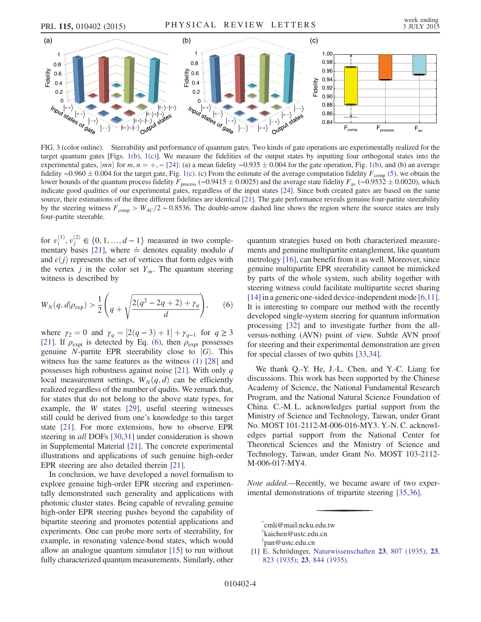<span id="page-3-4"></span>

FIG. 3 (color online). Steerability and performance of quantum gates. Two kinds of gate operations are experimentally realized for the target quantum gates [Figs. [1\(b\)](#page-1-0), [1\(c\)](#page-1-0)]. We measure the fidelities of the output states by inputting four orthogonal states into the experimental gates,  $|mn\rangle$  for  $m, n = +, -[24]$  $m, n = +, -[24]$ : (a) a mean fidelity ∼0.935  $\pm$  0.004 for the gate operation, Fig. [1\(b\)](#page-1-0), and (b) an average fidelity ∼0.960 + 0.004 for the target gate Fig. 1(c), (c) From the estimate of the fidelity ~0.960  $\pm$  0.004 for the target gate, Fig. [1\(c\).](#page-1-0) (c) From the estimate of the average computation fidelity  $F_{\text{comp}}(5)$ , we obtain the lower bounds of the quantum process fidelity  $F_{\text{comp}}(6)$  and the average st lower bounds of the quantum process fidelity  $F_{\text{process}}$  (∼0.9415  $\pm$  0.0025) and the average state fidelity  $F_{\text{av}}$  (∼0.9532  $\pm$  0.0020), which indicate good qualities of our experimental gates regardless of the input indicate good qualities of our experimental gates, regardless of the input states [\[24\]](#page-4-13). Since both created gates are based on the same source, their estimations of the three different fidelities are identical [\[21\].](#page-4-11) The gate performance reveals genuine four-partite steerability by the steering witness  $F_{\text{comp}} > W_{4C}/2 \sim 0.8536$ . The double-arrow dashed line shows the region where the source states are truly four-partite steerable.

for  $v_i^{(1)}$ ,  $v_j^{(2)} \in \{0, 1, ..., d-1\}$  measured in two complementary bases [21] where  $\div$  denotes equality modulo d mentary bases [\[21\],](#page-4-11) where  $\doteq$  denotes equality modulo d and  $\epsilon(j)$  represents the set of vertices that form edges with the vertex *j* in the color set  $Y_m$ . The quantum steering witness is described by

<span id="page-3-5"></span>
$$
W_N(q, d|\rho_{\exp}) > \frac{1}{2} \left( q + \sqrt{\frac{2(q^2 - 2q + 2) + \gamma_q}{d}} \right), \qquad (6)
$$

where  $\gamma_2 = 0$  and  $\gamma_q = [2(q - 3) + 1] + \gamma_{q-1}$  for  $q \ge 3$ [\[21\]](#page-4-11). If  $\rho_{\text{expt}}$  is detected by Eq. [\(6\)](#page-3-5), then  $\rho_{\text{expt}}$  possesses genuine N-partite EPR steerability close to  $|G\rangle$ . This witness has the same features as the witness [\(1\)](#page-1-1) [\[28\]](#page-4-17) and possesses high robustness against noise [\[21\].](#page-4-11) With only  $q$ local measurement settings,  $W_N(q, d)$  can be efficiently realized regardless of the number of qudits. We remark that, for states that do not belong to the above state types, for example, the W states [\[29\],](#page-4-18) useful steering witnesses still could be derived from one's knowledge to this target state [\[21\]](#page-4-11). For more extensions, how to observe EPR steering in all DOFs [\[30,31\]](#page-4-19) under consideration is shown in Supplemental Material [\[21\]](#page-4-11). The concrete experimental illustrations and applications of such genuine high-order EPR steering are also detailed therein [\[21\].](#page-4-11)

In conclusion, we have developed a novel formalism to explore genuine high-order EPR steering and experimentally demonstrated such generality and applications with photonic cluster states. Being capable of revealing genuine high-order EPR steering pushes beyond the capability of bipartite steering and promotes potential applications and experiments. One can probe more sorts of steerability, for example, in resonating valence-bond states, which would allow an analogue quantum simulator [\[15\]](#page-4-20) to run without fully characterized quantum measurements. Similarly, other quantum strategies based on both characterized measurements and genuine multipartite entanglement, like quantum metrology [\[16\]](#page-4-21), can benefit from it as well. Moreover, since genuine multipartite EPR steerability cannot be mimicked by parts of the whole system, such ability together with steering witness could facilitate multipartite secret sharing [\[14\]](#page-4-9) in a generic one-sided device-independent mode [\[6,11\]](#page-4-3). It is interesting to compare our method with the recently developed single-system steering for quantum information processing [\[32\]](#page-4-22) and to investigate further from the allversus-nothing (AVN) point of view. Subtle AVN proof for steering and their experimental demonstration are given for special classes of two qubits [\[33,34\]](#page-4-23).

We thank Q.-Y. He, J.-L. Chen, and Y.-C. Liang for discussions. This work has been supported by the Chinese Academy of Science, the National Fundamental Research Program, and the National Natural Science Foundation of China. C.-M. L. acknowledges partial support from the Ministry of Science and Technology, Taiwan, under Grant No. MOST 101-2112-M-006-016-MY3. Y.-N. C. acknowledges partial support from the National Center for Theoretical Sciences and the Ministry of Science and Technology, Taiwan, under Grant No. MOST 103-2112- M-006-017-MY4.

Note added.—Recently, we became aware of two experimental demonstrations of tripartite steering [\[35,36\].](#page-4-24)

<span id="page-3-1"></span><span id="page-3-0"></span>[\\*](#page-0-0) cmli@mail.ncku.edu.tw

<span id="page-3-2"></span>[<sup>†</sup>](#page-0-0) kaichen@ustc.edu.cn

[<sup>‡</sup>](#page-0-0) pan@ustc.edu.cn

<span id="page-3-3"></span><sup>[1]</sup> E. Schrödinger, [Naturwissenschaften](http://dx.doi.org/10.1007/BF01491891) **[23](http://dx.doi.org/10.1007/BF01491914)**, 807 (1935); **23**, [823 \(1935\)](http://dx.doi.org/10.1007/BF01491914); 23[, 844 \(1935\)](http://dx.doi.org/10.1007/BF01491987).